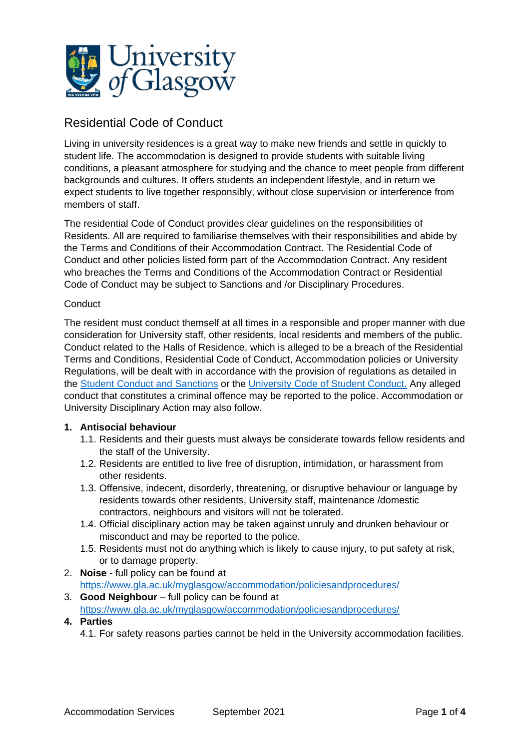

# Residential Code of Conduct

Living in university residences is a great way to make new friends and settle in quickly to student life. The accommodation is designed to provide students with suitable living conditions, a pleasant atmosphere for studying and the chance to meet people from different backgrounds and cultures. It offers students an independent lifestyle, and in return we expect students to live together responsibly, without close supervision or interference from members of staff.

The residential Code of Conduct provides clear guidelines on the responsibilities of Residents. All are required to familiarise themselves with their responsibilities and abide by the Terms and Conditions of their Accommodation Contract. The Residential Code of Conduct and other policies listed form part of the Accommodation Contract. Any resident who breaches the Terms and Conditions of the Accommodation Contract or Residential Code of Conduct may be subject to Sanctions and /or Disciplinary Procedures.

## **Conduct**

The resident must conduct themself at all times in a responsible and proper manner with due consideration for University staff, other residents, local residents and members of the public. Conduct related to the Halls of Residence, which is alleged to be a breach of the Residential Terms and Conditions, Residential Code of Conduct, Accommodation policies or University Regulations, will be dealt with in accordance with the provision of regulations as detailed in the [Student Conduct and Sanctions](https://www.gla.ac.uk/myglasgow/accommodation/policiesandprocedures/) or the [University Code of Student Conduct.](https://www.gla.ac.uk/myglasgow/senateoffice/studentcontract/#studentconduct) Any alleged conduct that constitutes a criminal offence may be reported to the police. Accommodation or University Disciplinary Action may also follow.

#### **1. Antisocial behaviour**

- 1.1. Residents and their guests must always be considerate towards fellow residents and the staff of the University.
- 1.2. Residents are entitled to live free of disruption, intimidation, or harassment from other residents.
- 1.3. Offensive, indecent, disorderly, threatening, or disruptive behaviour or language by residents towards other residents, University staff, maintenance /domestic contractors, neighbours and visitors will not be tolerated.
- 1.4. Official disciplinary action may be taken against unruly and drunken behaviour or misconduct and may be reported to the police.
- 1.5. Residents must not do anything which is likely to cause injury, to put safety at risk, or to damage property.
- 2. **Noise** full policy can be found at <https://www.gla.ac.uk/myglasgow/accommodation/policiesandprocedures/>
- 3. **Good Neighbour** full policy can be found at <https://www.gla.ac.uk/myglasgow/accommodation/policiesandprocedures/>
- **4. Parties**
	- 4.1. For safety reasons parties cannot be held in the University accommodation facilities.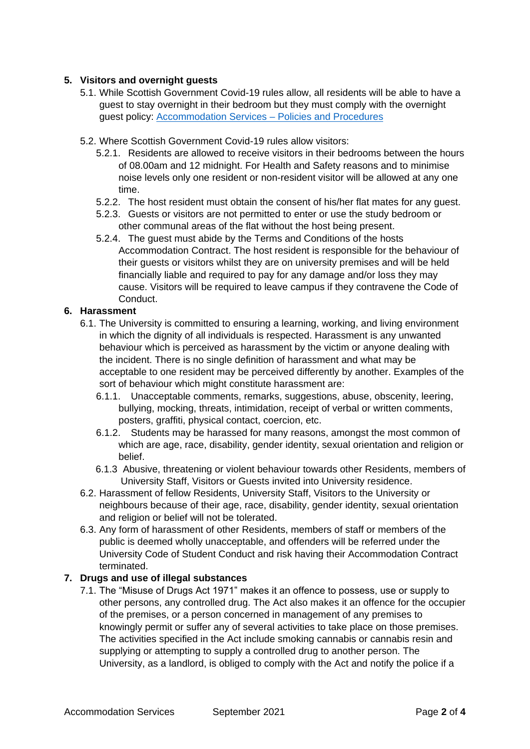## **5. Visitors and overnight guests**

- 5.1. While Scottish Government Covid-19 rules allow, all residents will be able to have a guest to stay overnight in their bedroom but they must comply with the overnight guest policy: [Accommodation Services](https://www.gla.ac.uk/myglasgow/accommodation/policiesandprocedures/) – Policies and Procedures
- 5.2. Where Scottish Government Covid-19 rules allow visitors:
	- 5.2.1. Residents are allowed to receive visitors in their bedrooms between the hours of 08.00am and 12 midnight. For Health and Safety reasons and to minimise noise levels only one resident or non-resident visitor will be allowed at any one time.
	- 5.2.2. The host resident must obtain the consent of his/her flat mates for any guest.
	- 5.2.3. Guests or visitors are not permitted to enter or use the study bedroom or other communal areas of the flat without the host being present.
	- 5.2.4. The guest must abide by the Terms and Conditions of the hosts Accommodation Contract. The host resident is responsible for the behaviour of their guests or visitors whilst they are on university premises and will be held financially liable and required to pay for any damage and/or loss they may cause. Visitors will be required to leave campus if they contravene the Code of Conduct.

#### **6. Harassment**

- 6.1. The University is committed to ensuring a learning, working, and living environment in which the dignity of all individuals is respected. Harassment is any unwanted behaviour which is perceived as harassment by the victim or anyone dealing with the incident. There is no single definition of harassment and what may be acceptable to one resident may be perceived differently by another. Examples of the sort of behaviour which might constitute harassment are:
	- 6.1.1. Unacceptable comments, remarks, suggestions, abuse, obscenity, leering, bullying, mocking, threats, intimidation, receipt of verbal or written comments, posters, graffiti, physical contact, coercion, etc.
	- 6.1.2. Students may be harassed for many reasons, amongst the most common of which are age, race, disability, gender identity, sexual orientation and religion or belief.
	- 6.1.3 Abusive, threatening or violent behaviour towards other Residents, members of University Staff, Visitors or Guests invited into University residence.
- 6.2. Harassment of fellow Residents, University Staff, Visitors to the University or neighbours because of their age, race, disability, gender identity, sexual orientation and religion or belief will not be tolerated.
- 6.3. Any form of harassment of other Residents, members of staff or members of the public is deemed wholly unacceptable, and offenders will be referred under the University Code of Student Conduct and risk having their Accommodation Contract terminated.

#### **7. Drugs and use of illegal substances**

7.1. The "Misuse of Drugs Act 1971" makes it an offence to possess, use or supply to other persons, any controlled drug. The Act also makes it an offence for the occupier of the premises, or a person concerned in management of any premises to knowingly permit or suffer any of several activities to take place on those premises. The activities specified in the Act include smoking cannabis or cannabis resin and supplying or attempting to supply a controlled drug to another person. The University, as a landlord, is obliged to comply with the Act and notify the police if a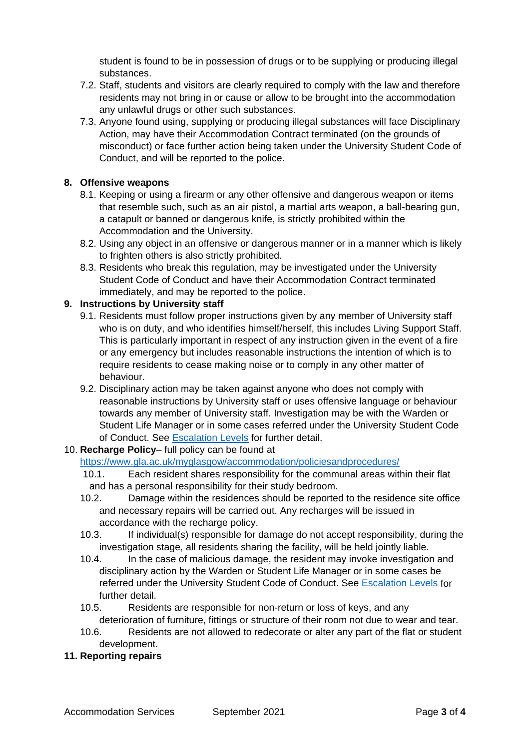student is found to be in possession of drugs or to be supplying or producing illegal substances.

- 7.2. Staff, students and visitors are clearly required to comply with the law and therefore residents may not bring in or cause or allow to be brought into the accommodation any unlawful drugs or other such substances.
- 7.3. Anyone found using, supplying or producing illegal substances will face Disciplinary Action, may have their Accommodation Contract terminated (on the grounds of misconduct) or face further action being taken under the University Student Code of Conduct, and will be reported to the police.

## **8. Offensive weapons**

- 8.1. Keeping or using a firearm or any other offensive and dangerous weapon or items that resemble such, such as an air pistol, a martial arts weapon, a ball-bearing gun, a catapult or banned or dangerous knife, is strictly prohibited within the Accommodation and the University.
- 8.2. Using any object in an offensive or dangerous manner or in a manner which is likely to frighten others is also strictly prohibited.
- 8.3. Residents who break this regulation, may be investigated under the University Student Code of Conduct and have their Accommodation Contract terminated immediately, and may be reported to the police.

## **9. Instructions by University staff**

- 9.1. Residents must follow proper instructions given by any member of University staff who is on duty, and who identifies himself/herself, this includes Living Support Staff. This is particularly important in respect of any instruction given in the event of a fire or any emergency but includes reasonable instructions the intention of which is to require residents to cease making noise or to comply in any other matter of behaviour.
- 9.2. Disciplinary action may be taken against anyone who does not comply with reasonable instructions by University staff or uses offensive language or behaviour towards any member of University staff. Investigation may be with the Warden or Student Life Manager or in some cases referred under the University Student Code of Conduct. See [Escalation Levels](https://www.gla.ac.uk/media/Media_778822_smxx.pdf) for further detail.

## 10. **Recharge Policy**– full policy can be found at

<https://www.gla.ac.uk/myglasgow/accommodation/policiesandprocedures/>

- 10.1. Each resident shares responsibility for the communal areas within their flat and has a personal responsibility for their study bedroom.
- 10.2. Damage within the residences should be reported to the residence site office and necessary repairs will be carried out. Any recharges will be issued in accordance with the recharge policy.
- 10.3. If individual(s) responsible for damage do not accept responsibility, during the investigation stage, all residents sharing the facility, will be held jointly liable.
- 10.4. In the case of malicious damage, the resident may invoke investigation and disciplinary action by the Warden or Student Life Manager or in some cases be referred under the University Student Code of Conduct. See [Escalation Levels](https://www.gla.ac.uk/media/Media_778822_smxx.pdf) for further detail.
- 10.5. Residents are responsible for non-return or loss of keys, and any deterioration of furniture, fittings or structure of their room not due to wear and tear.
- 10.6. Residents are not allowed to redecorate or alter any part of the flat or student development.

#### **11. Reporting repairs**